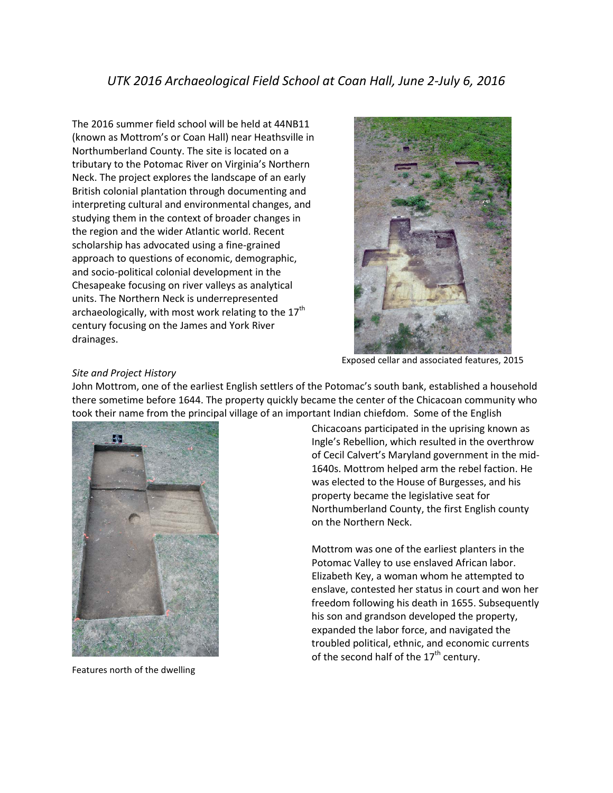The 2016 summer field school will be held at 44NB11 (known as Mottrom's or Coan Hall) near Heathsville in Northumberland County. The site is located on a tributary to the Potomac River on Virginia's Northern Neck. The project explores the landscape of an early British colonial plantation through documenting and interpreting cultural and environmental changes, and studying them in the context of broader changes in the region and the wider Atlantic world. Recent scholarship has advocated using a fine-grained approach to questions of economic, demographic, and socio-political colonial development in the Chesapeake focusing on river valleys as analytical units. The Northern Neck is underrepresented archaeologically, with most work relating to the  $17<sup>th</sup>$ century focusing on the James and York River drainages.



Exposed cellar and associated features, 2015

# *Site and Project History*

John Mottrom, one of the earliest English settlers of the Potomac's south bank, established a household there sometime before 1644. The property quickly became the center of the Chicacoan community who took their name from the principal village of an important Indian chiefdom. Some of the English



Features north of the dwelling

Chicacoans participated in the uprising known as Ingle's Rebellion, which resulted in the overthrow of Cecil Calvert's Maryland government in the mid-1640s. Mottrom helped arm the rebel faction. He was elected to the House of Burgesses, and his property became the legislative seat for Northumberland County, the first English county on the Northern Neck.

Mottrom was one of the earliest planters in the Potomac Valley to use enslaved African labor. Elizabeth Key, a woman whom he attempted to enslave, contested her status in court and won her freedom following his death in 1655. Subsequently his son and grandson developed the property, expanded the labor force, and navigated the troubled political, ethnic, and economic currents of the second half of the  $17<sup>th</sup>$  century.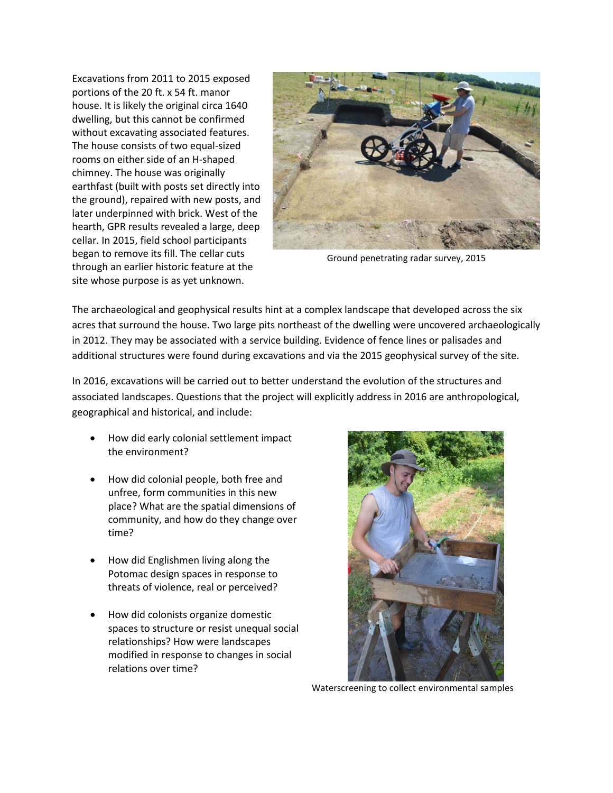Excavations from 2011 to 2015 exposed portions of the 20 ft. x 54 ft. manor house. It is likely the original circa 1640 dwelling, but this cannot be confirmed without excavating associated features. The house consists of two equal-sized rooms on either side of an H-shaped chimney. The house was originally earthfast (built with posts set directly into the ground), repaired with new posts, and later underpinned with brick. West of the hearth, GPR results revealed a large, deep cellar. In 2015, field school participants began to remove its fill. The cellar cuts through an earlier historic feature at the site whose purpose is as yet unknown.



Ground penetrating radar survey, 2015

The archaeological and geophysical results hint at a complex landscape that developed across the six acres that surround the house. Two large pits northeast of the dwelling were uncovered archaeologically in 2012. They may be associated with a service building. Evidence of fence lines or palisades and additional structures were found during excavations and via the 2015 geophysical survey of the site.

In 2016, excavations will be carried out to better understand the evolution of the structures and associated landscapes. Questions that the project will explicitly address in 2016 are anthropological, geographical and historical, and include:

- How did early colonial settlement impact the environment?
- How did colonial people, both free and unfree, form communities in this new place? What are the spatial dimensions of community, and how do they change over time?
- How did Englishmen living along the Potomac design spaces in response to threats of violence, real or perceived?
- How did colonists organize domestic spaces to structure or resist unequal social relationships? How were landscapes modified in response to changes in social relations over time?



Waterscreening to collect environmental samples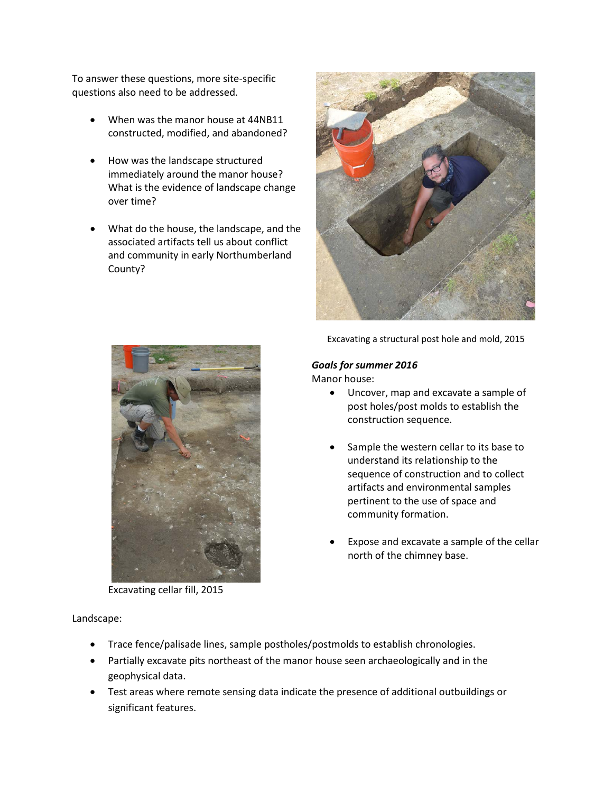To answer these questions, more site-specific questions also need to be addressed.

- When was the manor house at 44NB11 constructed, modified, and abandoned?
- How was the landscape structured immediately around the manor house? What is the evidence of landscape change over time?
- What do the house, the landscape, and the associated artifacts tell us about conflict and community in early Northumberland County?



Excavating a structural post hole and mold, 2015

## *Goals for summer 2016*

Manor house:

- Uncover, map and excavate a sample of post holes/post molds to establish the construction sequence.
- Sample the western cellar to its base to understand its relationship to the sequence of construction and to collect artifacts and environmental samples pertinent to the use of space and community formation.
- Expose and excavate a sample of the cellar north of the chimney base.



Excavating cellar fill, 2015

Landscape:

- Trace fence/palisade lines, sample postholes/postmolds to establish chronologies.
- Partially excavate pits northeast of the manor house seen archaeologically and in the geophysical data.
- Test areas where remote sensing data indicate the presence of additional outbuildings or significant features.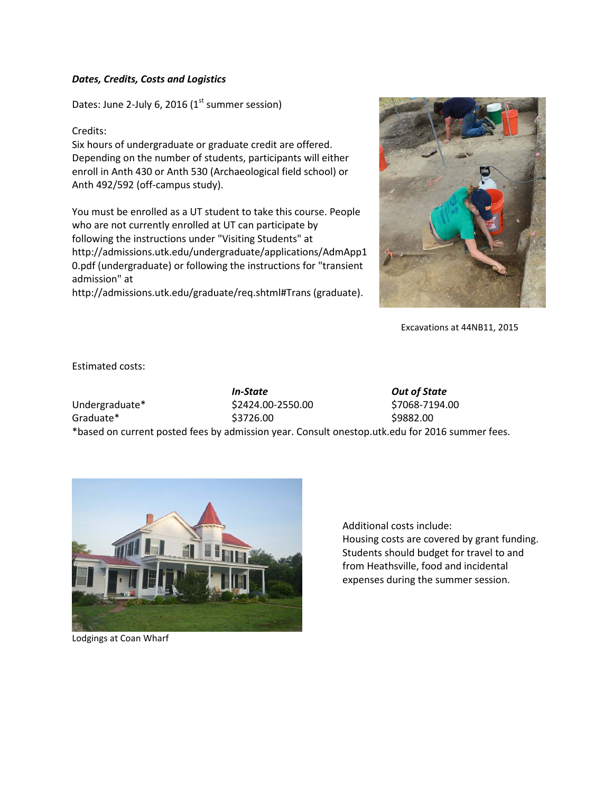#### *Dates, Credits, Costs and Logistics*

Dates: June 2-July 6, 2016 ( $1<sup>st</sup>$  summer session)

### Credits:

Six hours of undergraduate or graduate credit are offered. Depending on the number of students, participants will either enroll in Anth 430 or Anth 530 (Archaeological field school) or Anth 492/592 (off-campus study).

You must be enrolled as a UT student to take this course. People who are not currently enrolled at UT can participate by following the instructions under "Visiting Students" at http://admissions.utk.edu/undergraduate/applications/AdmApp1 0.pdf (undergraduate) or following the instructions for "transient admission" at

http://admissions.utk.edu/graduate/req.shtml#Trans (graduate).



Excavations at 44NB11, 2015

Estimated costs:

*In-State Out of State* Undergraduate\* \$2424.00-2550.00 \$7068-7194.00 Graduate\* \$3726.00 \$9882.00 \*based on current posted fees by admission year. Consult onestop.utk.edu for 2016 summer fees.



Lodgings at Coan Wharf

Additional costs include: Housing costs are covered by grant funding. Students should budget for travel to and from Heathsville, food and incidental expenses during the summer session.